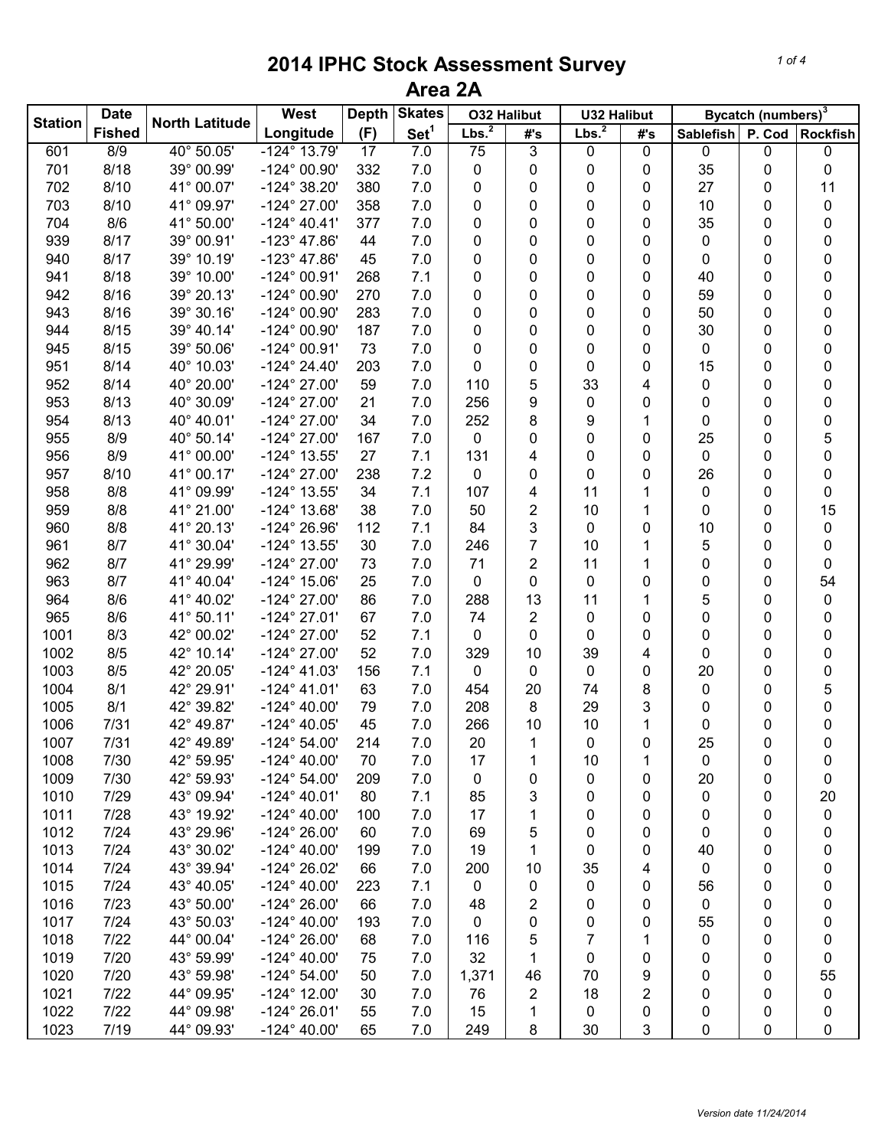|                | <b>Date</b>   |                       | <b>West</b>           | <b>Depth</b> | <b>Skates</b>    |                   | <b>O32 Halibut</b> | <b>U32 Halibut</b> |     |           | Bycatch (numbers) <sup>3</sup> |                 |
|----------------|---------------|-----------------------|-----------------------|--------------|------------------|-------------------|--------------------|--------------------|-----|-----------|--------------------------------|-----------------|
| <b>Station</b> | <b>Fished</b> | <b>North Latitude</b> | Longitude             | (F)          | Set <sup>1</sup> | Lbs. <sup>2</sup> | #'s                | Lbs. <sup>2</sup>  | #'s | Sablefish | P. Cod                         | <b>Rockfish</b> |
| 601            | 8/9           | 40° 50.05'            | $-124^{\circ}$ 13.79' | 17           | 7.0              | 75                | 3                  | 0                  | 0   | 0         | 0                              | 0               |
| 701            | 8/18          | 39° 00.99'            | $-124^{\circ}$ 00.90' | 332          | 7.0              | 0                 | 0                  | 0                  | 0   | 35        | 0                              | 0               |
| 702            | 8/10          | 41° 00.07'            | $-124^{\circ}$ 38.20' | 380          | 7.0              | 0                 | 0                  | 0                  | 0   | 27        | 0                              | 11              |
| 703            | 8/10          | 41° 09.97'            | $-124^{\circ}$ 27.00' | 358          | 7.0              | 0                 | 0                  | 0                  | 0   | 10        | 0                              | $\pmb{0}$       |
| 704            | 8/6           | 41° 50.00'            | $-124^{\circ}$ 40.41' | 377          | 7.0              | 0                 | 0                  | 0                  | 0   | 35        | 0                              | 0               |
| 939            | 8/17          | 39° 00.91'            | $-123^{\circ}$ 47.86' | 44           | 7.0              | 0                 | 0                  | 0                  | 0   | 0         | 0                              | 0               |
| 940            | 8/17          | 39° 10.19'            | $-123^{\circ}$ 47.86' | 45           | 7.0              | 0                 | 0                  | 0                  | 0   | 0         | 0                              | 0               |
| 941            | 8/18          | 39° 10.00'            | $-124^{\circ}$ 00.91' | 268          | 7.1              | 0                 | 0                  | 0                  | 0   | 40        | 0                              | 0               |
| 942            | 8/16          | 39° 20.13'            | $-124^{\circ}$ 00.90' | 270          | 7.0              | 0                 | 0                  | 0                  | 0   | 59        | 0                              | 0               |
| 943            | 8/16          | 39° 30.16'            | $-124^{\circ}$ 00.90' | 283          | 7.0              | 0                 | 0                  | 0                  | 0   | 50        | 0                              | 0               |
| 944            | 8/15          | 39° 40.14'            | $-124^{\circ}$ 00.90' | 187          | 7.0              | 0                 | 0                  | 0                  | 0   | 30        | 0                              | 0               |
| 945            | 8/15          | 39° 50.06'            | $-124^{\circ}$ 00.91' | 73           | 7.0              | 0                 | 0                  | 0                  | 0   | 0         | 0                              | 0               |
| 951            | 8/14          | 40° 10.03'            | $-124^{\circ} 24.40'$ | 203          | 7.0              | 0                 | 0                  | 0                  | 0   | 15        | 0                              | 0               |
| 952            | 8/14          | 40° 20.00'            | $-124^{\circ}$ 27.00' | 59           | 7.0              | 110               | 5                  | 33                 | 4   | 0         | 0                              | 0               |
| 953            | 8/13          | 40° 30.09'            | $-124^{\circ}$ 27.00' | 21           | 7.0              | 256               | 9                  | 0                  | 0   | 0         | 0                              | 0               |
| 954            | 8/13          | 40° 40.01'            | $-124^{\circ}$ 27.00' | 34           | 7.0              | 252               | 8                  | 9                  | 1   | 0         | 0                              | 0               |
| 955            | 8/9           | 40° 50.14'            | $-124^{\circ}$ 27.00' | 167          | 7.0              | 0                 | 0                  | 0                  | 0   | 25        | 0                              | 5               |
| 956            | 8/9           | 41° 00.00'            | -124° 13.55'          | 27           | 7.1              | 131               | 4                  | 0                  | 0   | 0         | 0                              | 0               |
| 957            | 8/10          | 41° 00.17'            | $-124^{\circ}$ 27.00' | 238          | 7.2              | 0                 | 0                  | 0                  | 0   | 26        | 0                              | 0               |
| 958            | 8/8           | 41° 09.99'            | $-124^{\circ}$ 13.55' | 34           | 7.1              | 107               | 4                  | 11                 | 1   | $\pmb{0}$ | 0                              | 0               |
| 959            | 8/8           | 41° 21.00'            | $-124^{\circ}$ 13.68' | 38           | 7.0              | 50                | $\overline{c}$     | 10                 | 1   | 0         | 0                              | 15              |
| 960            | 8/8           | 41° 20.13'            | -124° 26.96'          | 112          | 7.1              | 84                | 3                  | 0                  | 0   | 10        | 0                              | 0               |
| 961            | 8/7           | 41° 30.04'            | -124° 13.55'          | 30           | 7.0              | 246               | $\overline{7}$     | 10                 | 1   | 5         | 0                              | 0               |
| 962            | 8/7           | 41° 29.99'            | $-124^{\circ}$ 27.00' | 73           | 7.0              | 71                | $\overline{c}$     | 11                 | 1   | 0         | 0                              | 0               |
| 963            | 8/7           | 41° 40.04'            | $-124^{\circ}$ 15.06' | 25           | 7.0              | 0                 | 0                  | 0                  | 0   | 0         | 0                              | 54              |
| 964            | 8/6           | 41° 40.02'            | $-124^{\circ}$ 27.00' | 86           | 7.0              | 288               | 13                 | 11                 | 1   | 5         | 0                              | 0               |
| 965            | 8/6           | 41° 50.11'            | $-124^{\circ}$ 27.01' | 67           | 7.0              | 74                | 2                  | 0                  | 0   | 0         | 0                              | 0               |
| 1001           | 8/3           | 42° 00.02'            | $-124^{\circ}$ 27.00' | 52           | 7.1              | 0                 | 0                  | 0                  | 0   | 0         | 0                              | 0               |
| 1002           | 8/5           | 42° 10.14'            | $-124^{\circ}$ 27.00' | 52           | 7.0              | 329               | 10                 | 39                 | 4   | 0         | 0                              | 0               |
| 1003           | 8/5           | 42° 20.05'            | $-124^{\circ}$ 41.03' | 156          | 7.1              | 0                 | 0                  | 0                  | 0   | 20        | 0                              | 0               |
| 1004           | 8/1           | 42° 29.91'            | $-124^{\circ}$ 41.01' | 63           | 7.0              | 454               | 20                 | 74                 | 8   | 0         | 0                              | 5               |
| 1005           | 8/1           | 42° 39.82'            | $-124^{\circ}$ 40.00' | 79           | 7.0              | 208               | 8                  | 29                 | 3   | 0         | 0                              | 0               |
| 1006           | 7/31          | 42° 49.87'            | $-124^{\circ}$ 40.05' | 45           | 7.0              | 266               | 10                 | 10                 | 1   | 0         | 0                              | 0               |
| 1007           | 7/31          | 42° 49.89'            | $-124^{\circ} 54.00'$ | 214          | 7.0              | 20                | 1                  | 0                  | 0   | 25        | 0                              | 0               |
| 1008           | 7/30          | 42° 59.95'            | $-124^{\circ}$ 40.00' | 70           | 7.0              | 17                | 1                  | 10                 | 1   | 0         | 0                              | 0               |
| 1009           | 7/30          | 42° 59.93'            | $-124^{\circ} 54.00'$ | 209          | 7.0              | 0                 | 0                  | 0                  | 0   | 20        | 0                              | 0               |
| 1010           | 7/29          | 43° 09.94'            | $-124^{\circ}$ 40.01' | 80           | 7.1              | 85                | 3                  | 0                  | 0   | 0         | 0                              | 20              |
| 1011           | 7/28          | 43° 19.92'            | $-124^{\circ}$ 40.00' | 100          | 7.0              | 17                | 1                  | 0                  | 0   | 0         | 0                              | $\pmb{0}$       |
| 1012           | 7/24          | 43° 29.96'            | $-124^{\circ} 26.00'$ | 60           | 7.0              | 69                | 5                  | 0                  | 0   | 0         | 0                              | 0               |
| 1013           | 7/24          | 43° 30.02'            | $-124^{\circ}$ 40.00' | 199          | 7.0              | 19                | 1                  | 0                  | 0   | 40        | 0                              | 0               |
| 1014           | 7/24          | 43° 39.94'            | $-124^{\circ} 26.02'$ | 66           | 7.0              | 200               | 10                 | 35                 | 4   | 0         | 0                              | 0               |
| 1015           | 7/24          | 43° 40.05'            | $-124^{\circ}$ 40.00' | 223          | 7.1              | 0                 | 0                  | 0                  | 0   | 56        | 0                              | 0               |
| 1016           | 7/23          | 43° 50.00'            | $-124^{\circ} 26.00'$ | 66           | 7.0              | 48                | 2                  | 0                  | 0   | 0         | 0                              | 0               |
| 1017           | 7/24          | 43° 50.03'            | $-124^{\circ}$ 40.00' | 193          | 7.0              | 0                 | 0                  | 0                  | 0   | 55        | 0                              | 0               |
| 1018           | 7/22          | 44° 00.04'            | $-124^{\circ} 26.00'$ | 68           | 7.0              | 116               | 5                  | 7                  | 1   | 0         | 0                              | 0               |
| 1019           | 7/20          | 43° 59.99'            | $-124^{\circ}$ 40.00' | 75           | 7.0              | 32                | 1                  | 0                  | 0   | 0         | 0                              | 0               |
| 1020           | 7/20          | 43° 59.98'            | $-124^{\circ} 54.00'$ | 50           | 7.0              | 1,371             | 46                 | 70                 | 9   | 0         | 0                              | 55              |
| 1021           | 7/22          | 44° 09.95'            | $-124^{\circ}$ 12.00' | 30           | 7.0              | 76                | 2                  | 18                 | 2   | 0         | 0                              | 0               |
| 1022           | 7/22          | 44° 09.98'            | $-124^{\circ} 26.01'$ | 55           | 7.0              | 15                | 1                  | 0                  | 0   | 0         | 0                              | 0               |
| 1023           | 7/19          | 44° 09.93'            | $-124^{\circ}$ 40.00' | 65           | 7.0              | 249               | 8                  | 30                 | 3   | 0         | 0                              | 0               |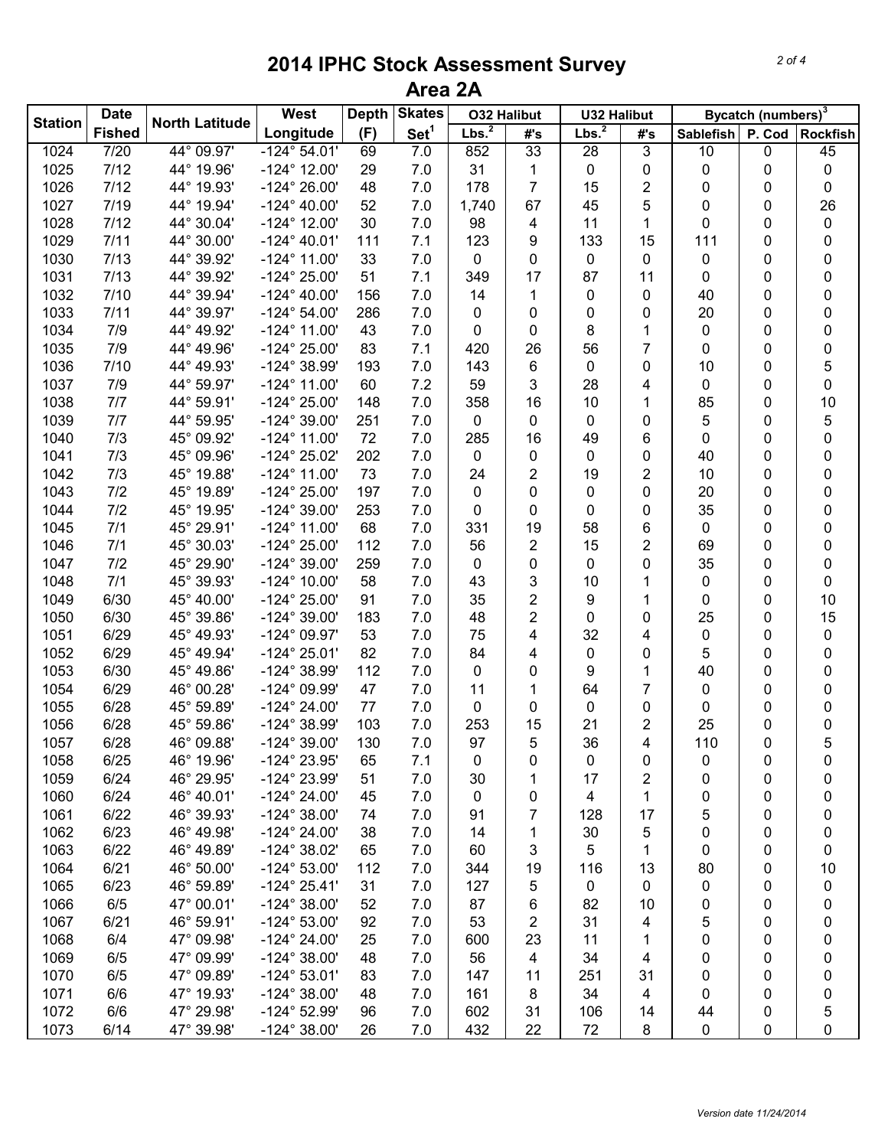|                | <b>Date</b>   |                        | West                  | <b>Depth</b> | <b>Skates</b>    |                   | <b>O32 Halibut</b> |                   | <b>U32 Halibut</b> |           | Bycatch (numbers) <sup>3</sup> |                 |  |
|----------------|---------------|------------------------|-----------------------|--------------|------------------|-------------------|--------------------|-------------------|--------------------|-----------|--------------------------------|-----------------|--|
| <b>Station</b> | <b>Fished</b> | <b>North Latitude</b>  | Longitude             | (F)          | Set <sup>1</sup> | Lbs. <sup>2</sup> | #'s                | Lbs. <sup>2</sup> | #'s                | Sablefish | P. Cod                         | <b>Rockfish</b> |  |
| 1024           | 7/20          | 44° 09.97'             | $-124^{\circ} 54.01'$ | 69           | 7.0              | 852               | 33                 | 28                | 3                  | 10        | 0                              | 45              |  |
| 1025           | 7/12          | 44° 19.96'             | $-124^{\circ}$ 12.00' | 29           | 7.0              | 31                | 1                  | 0                 | 0                  | 0         | 0                              | 0               |  |
| 1026           | 7/12          | 44° 19.93'             | $-124^{\circ} 26.00'$ | 48           | 7.0              | 178               | 7                  | 15                | 2                  | 0         | 0                              | 0               |  |
| 1027           | 7/19          | 44° 19.94'             | $-124^{\circ}$ 40.00' | 52           | 7.0              | 1,740             | 67                 | 45                | 5                  | 0         | 0                              | 26              |  |
| 1028           | 7/12          | 44° 30.04'             | $-124^{\circ}$ 12.00' | 30           | 7.0              | 98                | 4                  | 11                | 1                  | 0         | 0                              | 0               |  |
| 1029           | 7/11          | 44° 30.00'             | $-124^{\circ}$ 40.01' | 111          | 7.1              | 123               | 9                  | 133               | 15                 | 111       | 0                              | 0               |  |
| 1030           | 7/13          | 44° 39.92'             | $-124^{\circ}$ 11.00' | 33           | 7.0              | 0                 | 0                  | 0                 | 0                  | 0         | 0                              | 0               |  |
| 1031           | 7/13          | 44° 39.92'             | $-124^{\circ} 25.00'$ | 51           | 7.1              | 349               | 17                 | 87                | 11                 | 0         | 0                              | 0               |  |
| 1032           | 7/10          | 44° 39.94'             | $-124^{\circ}$ 40.00' | 156          | 7.0              | 14                | 1                  | 0                 | 0                  | 40        | 0                              | 0               |  |
| 1033           | 7/11          | 44° 39.97'             | $-124^{\circ} 54.00'$ | 286          | 7.0              | 0                 | 0                  | 0                 | 0                  | 20        | 0                              | 0               |  |
| 1034           | 7/9           | 44° 49.92'             | $-124^{\circ}$ 11.00' | 43           | 7.0              | 0                 | 0                  | 8                 | 1                  | 0         | 0                              | 0               |  |
| 1035           | 7/9           | 44° 49.96'             | $-124^{\circ} 25.00'$ | 83           | 7.1              | 420               | 26                 | 56                | 7                  | 0         | 0                              | 0               |  |
| 1036           | 7/10          | 44° 49.93'             | -124° 38.99'          | 193          | 7.0              | 143               | 6                  | 0                 | 0                  | 10        | 0                              | 5               |  |
| 1037           | 7/9           | 44° 59.97'             | $-124^{\circ}$ 11.00' | 60           | 7.2              | 59                | 3                  | 28                | 4                  | 0         | 0                              | 0               |  |
| 1038           | 7/7           | 44° 59.91'             | $-124^{\circ} 25.00'$ | 148          | 7.0              | 358               | 16                 | 10                | 1                  | 85        | 0                              | 10              |  |
| 1039           | 7/7           | 44° 59.95'             | -124° 39.00'          | 251          | 7.0              | 0                 | 0                  | 0                 | 0                  | 5         | 0                              | 5               |  |
| 1040           | 7/3           | 45° 09.92'             | $-124^{\circ}$ 11.00' | 72           | 7.0              | 285               | 16                 | 49                | 6                  | 0         | 0                              | 0               |  |
| 1041           | 7/3           | 45° 09.96'             | -124° 25.02'          | 202          | 7.0              | 0                 | 0                  | 0                 | 0                  | 40        | 0                              | 0               |  |
| 1042           | 7/3           | 45° 19.88'             | $-124^{\circ}$ 11.00' | 73           | 7.0              | 24                | 2                  | 19                | 2                  | 10        | 0                              | 0               |  |
| 1043           | 7/2           | 45° 19.89'             | $-124^{\circ} 25.00'$ | 197          | 7.0              | 0                 | 0                  | 0                 | 0                  | 20        | 0                              | 0               |  |
| 1044           | 7/2           | 45° 19.95'             | $-124^{\circ}$ 39.00' | 253          | 7.0              | 0                 | 0                  | 0                 | 0                  | 35        | 0                              | 0               |  |
| 1045           | 7/1           | 45° 29.91'             | $-124^{\circ}$ 11.00' | 68           | 7.0              | 331               | 19                 | 58                | 6                  | 0         | 0                              | 0               |  |
| 1046           | 7/1           | 45° 30.03'             | $-124^{\circ} 25.00'$ | 112          | 7.0              | 56                | 2                  | 15                | 2                  | 69        | 0                              | 0               |  |
| 1047           | 7/2           | 45° 29.90'             | $-124^{\circ}$ 39.00' | 259          | 7.0              | 0                 | 0                  | 0                 | 0                  | 35        | 0                              | 0               |  |
| 1048           | 7/1           | 45° 39.93'             | $-124^{\circ}$ 10.00' | 58           | 7.0              | 43                | 3                  | 10                | 1                  | 0         | 0                              | 0               |  |
| 1049           | 6/30          | 45° 40.00'             | $-124^{\circ} 25.00'$ | 91           | 7.0              | 35                | 2                  | 9                 | 1                  | 0         | 0                              | 10              |  |
| 1050           | 6/30          | 45° 39.86'             | $-124^{\circ}$ 39.00' | 183          | 7.0              | 48                | 2                  | 0                 | 0                  | 25        | 0                              | 15              |  |
| 1051           | 6/29          | 45° 49.93'             | $-124^{\circ}$ 09.97' | 53           | 7.0              | 75                | 4                  | 32                | 4                  | 0         | 0                              | 0               |  |
| 1052           | 6/29          | 45° 49.94'             | $-124^{\circ} 25.01'$ | 82           | 7.0              | 84                | 4                  | 0                 | 0                  | 5         | 0                              | 0               |  |
| 1053           | 6/30          | 45° 49.86'             | -124° 38.99'          | 112          | 7.0              | 0                 | 0                  | 9                 | 1                  | 40        | 0                              | 0               |  |
| 1054           | 6/29          | 46° 00.28'             | -124° 09.99'          | 47           | 7.0              | 11                | 1                  | 64                | 7                  | 0         | 0                              | 0               |  |
| 1055           | 6/28          | 45° 59.89'             | $-124^{\circ} 24.00'$ | 77           | 7.0              | 0                 | 0                  | 0                 | 0                  | 0         | 0                              | 0               |  |
| 1056           | 6/28          | $45^{\circ}$<br>59.86' | -124° 38.99'          | 103          | 7.0              | 253               | 15                 | 21                | 2                  | 25        | 0                              | 0               |  |
| 1057           | 6/28          | 46° 09.88'             | $-124^{\circ}$ 39.00' | 130          | 7.0              | 97                | 5                  | 36                | 4                  | 110       | 0                              | 5               |  |
| 1058           | 6/25          | 46° 19.96'             | $-124^{\circ}$ 23.95' | 65           | 7.1              | 0                 | 0                  | 0                 | 0                  | 0         | 0                              | 0               |  |
| 1059           | 6/24          | 46° 29.95'             | -124° 23.99'          | 51           | 7.0              | 30                | 1                  | 17                | 2                  | 0         | 0                              | 0               |  |
| 1060           | 6/24          | 46° 40.01'             | $-124^{\circ} 24.00'$ | 45           | 7.0              | 0                 | 0                  | 4                 | 1                  | 0         | 0                              | 0               |  |
| 1061           | 6/22          | 46° 39.93'             | $-124^{\circ}$ 38.00' | 74           | 7.0              | 91                | 7                  | 128               | 17                 | 5         | 0                              | 0               |  |
| 1062           | 6/23          | 46° 49.98'             | $-124^{\circ} 24.00'$ | 38           | 7.0              | 14                | 1                  | 30                | 5                  | 0         | 0                              | 0               |  |
| 1063           | 6/22          | 46° 49.89'             | $-124^{\circ}$ 38.02' | 65           | 7.0              | 60                | 3                  | 5                 | 1                  | 0         | 0                              | 0               |  |
| 1064           | 6/21          | 46° 50.00'             | $-124^{\circ} 53.00'$ | 112          | 7.0              | 344               | 19                 | 116               | 13                 | 80        | 0                              | 10              |  |
| 1065           | 6/23          | 46° 59.89'             | $-124^{\circ} 25.41'$ | 31           | 7.0              | 127               | 5                  | 0                 | 0                  | 0         | 0                              | 0               |  |
| 1066           | 6/5           | 47° 00.01'             | $-124^{\circ}$ 38.00' | 52           | 7.0              | 87                | 6                  | 82                | 10                 | 0         | 0                              | 0               |  |
| 1067           | 6/21          | 46° 59.91'             | $-124^{\circ} 53.00'$ | 92           | 7.0              | 53                | 2                  | 31                | 4                  | 5         | 0                              | 0               |  |
| 1068           | 6/4           | 47° 09.98'             | $-124^{\circ} 24.00'$ | 25           | 7.0              | 600               | 23                 | 11                | 1                  | 0         | 0                              | 0               |  |
| 1069           | 6/5           | 47° 09.99'             | $-124^{\circ}$ 38.00' | 48           | 7.0              | 56                | 4                  | 34                | 4                  | 0         | 0                              | 0               |  |
| 1070           | 6/5           | 47° 09.89'             | $-124^{\circ} 53.01'$ | 83           | 7.0              | 147               | 11                 | 251               | 31                 | 0         | 0                              | 0               |  |
| 1071           | 6/6           | 47° 19.93'             | $-124^{\circ}$ 38.00' | 48           | 7.0              | 161               | 8                  | 34                | 4                  | 0         | 0                              | 0               |  |
| 1072           | 6/6           | 47° 29.98'             | $-124^{\circ}$ 52.99' | 96           | 7.0              | 602               | 31                 | 106               | 14                 | 44        | 0                              | 5               |  |
| 1073           | 6/14          | 47° 39.98'             | -124° 38.00'          | 26           | 7.0              | 432               | 22                 | 72                | 8                  | 0         | 0                              | 0               |  |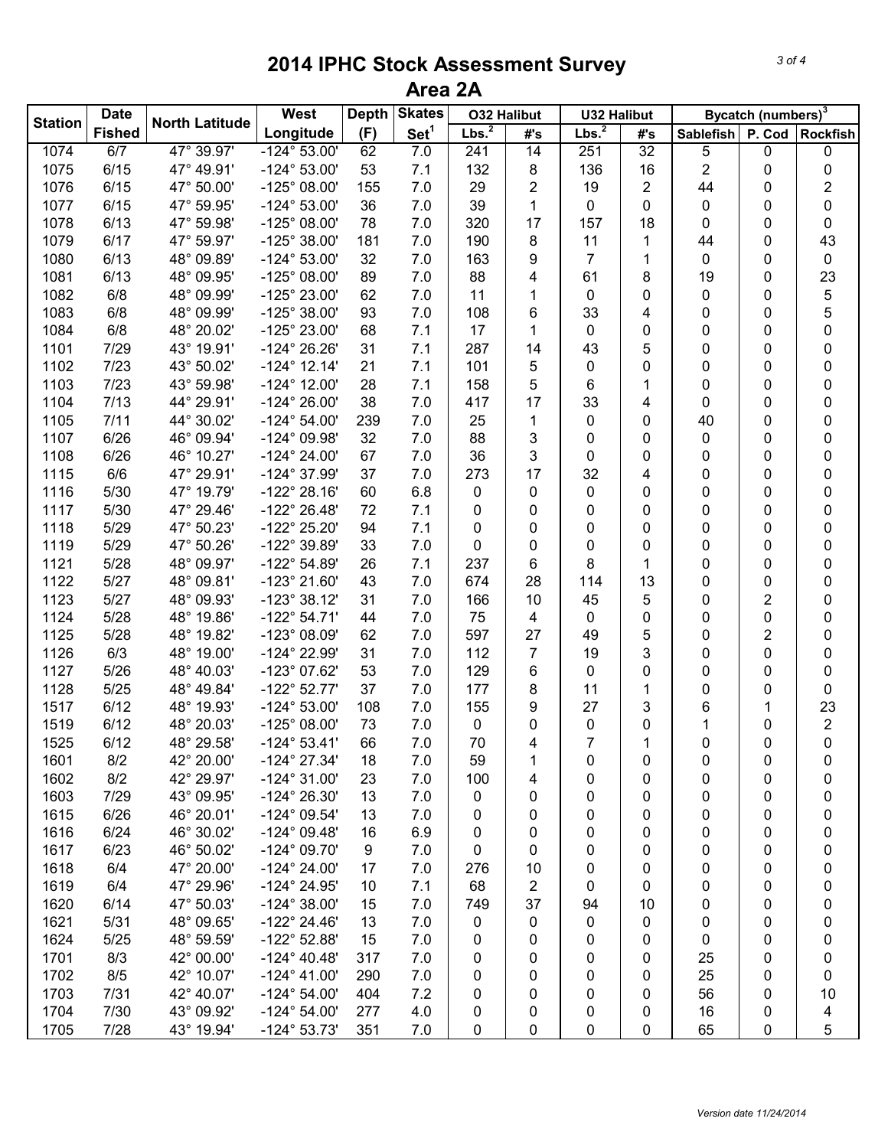|                | <b>Date</b>   |                       | West                  | <b>Skates</b><br><b>Depth</b> |                  | <b>O32 Halibut</b> |                | <b>U32 Halibut</b> |                 | Bycatch (numbers) <sup>3</sup> |        |                 |
|----------------|---------------|-----------------------|-----------------------|-------------------------------|------------------|--------------------|----------------|--------------------|-----------------|--------------------------------|--------|-----------------|
| <b>Station</b> | <b>Fished</b> | <b>North Latitude</b> | Longitude             | (F)                           | Set <sup>1</sup> | Lbs. <sup>2</sup>  | #'s            | Lbs. <sup>2</sup>  | #'s             | Sablefish                      | P. Cod | <b>Rockfish</b> |
| 1074           | 6/7           | 47° 39.97'            | $-124^{\circ} 53.00'$ | 62                            | 7.0              | 241                | 14             | 251                | $\overline{32}$ | 5                              | 0      | 0               |
| 1075           | 6/15          | 47° 49.91'            | $-124^{\circ} 53.00'$ | 53                            | 7.1              | 132                | 8              | 136                | 16              | $\overline{2}$                 | 0      | 0               |
| 1076           | 6/15          | 47° 50.00'            | $-125^{\circ}$ 08.00' | 155                           | 7.0              | 29                 | $\overline{2}$ | 19                 | 2               | 44                             | 0      | 2               |
| 1077           | 6/15          | 47° 59.95'            | $-124^{\circ} 53.00'$ | 36                            | 7.0              | 39                 | 1              | 0                  | 0               | 0                              | 0      | 0               |
| 1078           | 6/13          | 47° 59.98'            | $-125^{\circ}$ 08.00' | 78                            | 7.0              | 320                | 17             | 157                | 18              | 0                              | 0      | 0               |
| 1079           | 6/17          | 47° 59.97'            | $-125^{\circ}$ 38.00' | 181                           | 7.0              | 190                | 8              | 11                 | 1               | 44                             | 0      | 43              |
| 1080           | 6/13          | 48° 09.89'            | $-124^{\circ} 53.00'$ | 32                            | 7.0              | 163                | 9              | 7                  | 1               | 0                              | 0      | 0               |
| 1081           | 6/13          | 48° 09.95'            | $-125^{\circ}$ 08.00' | 89                            | 7.0              | 88                 | 4              | 61                 | 8               | 19                             | 0      | 23              |
| 1082           | 6/8           | 48° 09.99'            | -125° 23.00'          | 62                            | 7.0              | 11                 | 1              | 0                  | 0               | 0                              | 0      | 5               |
| 1083           | 6/8           | 48° 09.99'            | $-125^{\circ}$ 38.00' | 93                            | 7.0              | 108                | 6              | 33                 | 4               | 0                              | 0      | 5               |
| 1084           | 6/8           | 48° 20.02'            | -125° 23.00'          | 68                            | 7.1              | 17                 | 1              | 0                  | 0               | 0                              | 0      | 0               |
| 1101           | 7/29          | 43° 19.91'            | -124° 26.26'          | 31                            | 7.1              | 287                | 14             | 43                 | 5               | 0                              | 0      | 0               |
| 1102           | 7/23          | 43° 50.02'            | $-124^{\circ}$ 12.14' | 21                            | 7.1              | 101                | 5              | 0                  | 0               | 0                              | 0      | 0               |
| 1103           | 7/23          | 43° 59.98'            | $-124^{\circ}$ 12.00' | 28                            | 7.1              | 158                | 5              | 6                  | 1               | 0                              | 0      | 0               |
| 1104           | 7/13          | 44° 29.91'            | $-124^{\circ} 26.00'$ | 38                            | 7.0              | 417                | 17             | 33                 | 4               | 0                              | 0      | 0               |
| 1105           | 7/11          | 44° 30.02'            | $-124^{\circ} 54.00'$ | 239                           | 7.0              | 25                 | 1              | 0                  | 0               | 40                             | 0      | 0               |
| 1107           | 6/26          | 46° 09.94'            | -124° 09.98'          | 32                            | 7.0              | 88                 | 3              | 0                  | 0               | 0                              | 0      | 0               |
| 1108           | 6/26          | 46° 10.27'            | $-124^{\circ} 24.00'$ | 67                            | 7.0              | 36                 | 3              | 0                  | 0               | 0                              | 0      | 0               |
| 1115           | 6/6           | 47° 29.91'            | -124° 37.99'          | 37                            | 7.0              | 273                | 17             | 32                 | 4               | 0                              | 0      | 0               |
| 1116           | 5/30          | 47° 19.79'            | $-122^{\circ} 28.16'$ | 60                            | 6.8              | 0                  | 0              | 0                  | 0               | 0                              | 0      | 0               |
| 1117           | 5/30          | 47° 29.46'            | -122° 26.48'          | 72                            | 7.1              | 0                  | 0              | 0                  | 0               | 0                              | 0      | 0               |
| 1118           | 5/29          | 47° 50.23'            | -122° 25.20'          | 94                            | 7.1              | 0                  | 0              | 0                  | 0               | 0                              | 0      | 0               |
| 1119           | 5/29          | 47° 50.26'            | -122° 39.89'          | 33                            | 7.0              | 0                  | 0              | 0                  | 0               | 0                              | 0      | 0               |
| 1121           | 5/28          | 48° 09.97'            | $-122^{\circ}$ 54.89' | 26                            | 7.1              | 237                | 6              | 8                  | 1               | 0                              | 0      | 0               |
| 1122           | 5/27          | 48° 09.81'            | -123° 21.60'          | 43                            | 7.0              | 674                | 28             | 114                | 13              | 0                              | 0      | 0               |
| 1123           | 5/27          | 48° 09.93'            | $-123°38.12'$         | 31                            | 7.0              | 166                | 10             | 45                 | 5               | 0                              | 2      | 0               |
| 1124           | 5/28          | 48° 19.86'            | $-122^{\circ}54.71'$  | 44                            | 7.0              | 75                 | 4              | 0                  | 0               | 0                              | 0      | 0               |
| 1125           | 5/28          | 48° 19.82'            | -123° 08.09'          | 62                            | 7.0              | 597                | 27             | 49                 | 5               | 0                              | 2      | 0               |
| 1126           | 6/3           | 48° 19.00'            | -124° 22.99'          | 31                            | 7.0              | 112                | 7              | 19                 | 3               | 0                              | 0      | 0               |
| 1127           | 5/26          | 48° 40.03'            | -123° 07.62'          | 53                            | 7.0              | 129                | 6              | 0                  | 0               | 0                              | 0      | 0               |
| 1128           | 5/25          | 48° 49.84'            | $-122^{\circ}52.77'$  | 37                            | 7.0              | 177                | 8              | 11                 | 1               | 0                              | 0      | 0               |
| 1517           | 6/12          | 48° 19.93'            | $-124^{\circ} 53.00'$ | 108                           | 7.0              | 155                | 9              | 27                 | 3               | 6                              | 1      | 23              |
| 1519           | 6/12          | 48° 20.03'            | $-125^{\circ}$ 08.00' | 73                            | 7.0              | 0                  | 0              | 0                  | 0               | 1                              | 0      | 2               |
| 1525           | 6/12          | 48° 29.58'            | $-124^{\circ}53.41'$  | 66                            | 7.0              | 70                 | 4              | $\overline{7}$     | 1               | 0                              | 0      | 0               |
| 1601           | 8/2           | 42° 20.00'            | $-124^{\circ}$ 27.34' | 18                            | 7.0              | 59                 | 1              | 0                  | 0               | 0                              | 0      | 0               |
| 1602           | 8/2           | 42° 29.97'            | $-124^{\circ}$ 31.00' | 23                            | 7.0              | 100                | 4              | 0                  | 0               | 0                              | 0      | 0               |
| 1603           | 7/29          | 43° 09.95'            | -124° 26.30'          | 13                            | 7.0              | 0                  | 0              | 0                  | 0               | 0                              | 0      | 0               |
| 1615           | 6/26          | 46° 20.01'            | $-124^{\circ}$ 09.54' | 13                            | 7.0              | 0                  | 0              | 0                  | 0               | 0                              | 0      | 0               |
| 1616           | 6/24          | 46° 30.02'            | $-124^{\circ}$ 09.48' | 16                            | 6.9              | 0                  | 0              | 0                  | 0               | 0                              | 0      | 0               |
| 1617           | 6/23          | 46° 50.02'            | $-124^{\circ}$ 09.70' | 9                             | 7.0              | 0                  | 0              | 0                  | 0               | 0                              | 0      | 0               |
| 1618           | 6/4           | 47° 20.00'            | $-124^{\circ} 24.00'$ | 17                            | 7.0              | 276                | 10             | 0                  | 0               | 0                              | 0      | 0               |
| 1619           | 6/4           | 47° 29.96'            | $-124^{\circ}$ 24.95' | 10                            | 7.1              | 68                 | $\overline{c}$ | 0                  | 0               | 0                              | 0      | 0               |
| 1620           | 6/14          | 47° 50.03'            | $-124^{\circ}$ 38.00' | 15                            | 7.0              | 749                | 37             | 94                 | 10              | 0                              | 0      | 0               |
| 1621           | 5/31          | 48° 09.65'            | $-122^{\circ}$ 24.46' | 13                            | 7.0              | 0                  | 0              | 0                  | 0               | 0                              | 0      | 0               |
| 1624           | 5/25          | 48° 59.59'            | $-122^{\circ}$ 52.88' | 15                            | 7.0              | 0                  | 0              | 0                  | 0               | 0                              | 0      | 0               |
| 1701           | 8/3           | 42° 00.00'            | $-124^{\circ}$ 40.48' | 317                           | 7.0              | 0                  | 0              | 0                  | 0               | 25                             | 0      | 0               |
| 1702           | 8/5           | 42° 10.07'            | $-124^{\circ}$ 41.00' | 290                           | 7.0              | 0                  | 0              | 0                  | 0               | 25                             | 0      | 0               |
| 1703           | 7/31          | 42° 40.07'            | $-124^{\circ} 54.00'$ | 404                           | 7.2              | 0                  | 0              | 0                  | 0               | 56                             | 0      | 10              |
| 1704           | 7/30          | 43° 09.92'            | $-124^{\circ} 54.00'$ | 277                           | 4.0              | 0                  | 0              | 0                  | 0               | 16                             | 0      | 4               |
| 1705           | 7/28          | 43° 19.94'            | $-124^{\circ}53.73'$  | 351                           | 7.0              | 0                  | 0              | 0                  | 0               | 65                             | 0      | 5               |